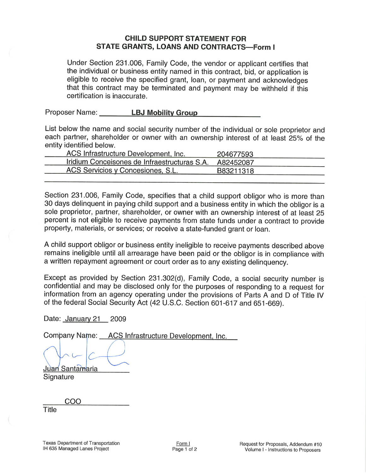## **CHILD SUPPORT STATEMENT FOR** STATE GRANTS, LOANS AND CONTRACTS-Form I

Under Section 231.006, Family Code, the vendor or applicant certifies that the individual or business entity named in this contract, bid, or application is eligible to receive the specified grant, loan, or payment and acknowledges that this contract may be terminated and payment may be withheld if this certification is inaccurate.

Proposer Name: LBJ Mobility Group

List below the name and social security number of the individual or sole proprietor and each partner, shareholder or owner with an ownership interest of at least 25% of the entity identified below.

| . <del>.</del>                               |           |
|----------------------------------------------|-----------|
| ACS Infrastructure Development, Inc.         | 204677593 |
| Iridium Conceisones de Infraestructuras S.A. | A82452087 |
| ACS Servicios y Concesiones, S.L.            | B83211318 |
|                                              |           |

Section 231.006, Family Code, specifies that a child support obligor who is more than 30 days delinquent in paying child support and a business entity in which the obligor is a sole proprietor, partner, shareholder, or owner with an ownership interest of at least 25 percent is not eligible to receive payments from state funds under a contract to provide property, materials, or services; or receive a state-funded grant or loan.

A child support obligor or business entity ineligible to receive payments described above remains ineligible until all arrearage have been paid or the obligor is in compliance with a written repayment agreement or court order as to any existing delinquency.

Except as provided by Section 231.302(d), Family Code, a social security number is confidential and may be disclosed only for the purposes of responding to a request for information from an agency operating under the provisions of Parts A and D of Title IV of the federal Social Security Act (42 U.S.C. Section 601-617 and 651-669).

Date: January 21 <sup>2009</sup>

Company Name: ACS Infrastructure Development, Inc.

**Juan Santamaria**<br>Signature

coo

**Title**